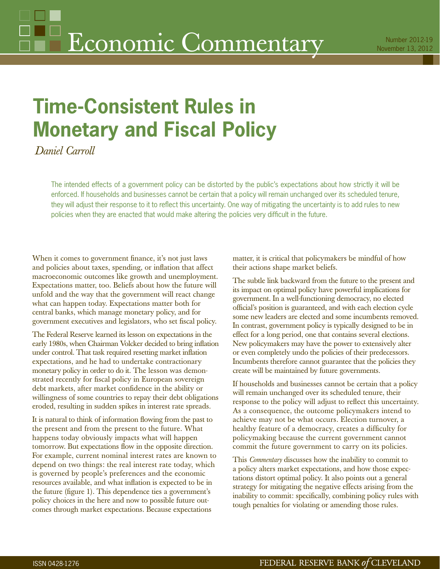# **Time-Consistent Rules in Monetary and Fiscal Policy**

*Daniel Carroll*

The intended effects of a government policy can be distorted by the public's expectations about how strictly it will be enforced. If households and businesses cannot be certain that a policy will remain unchanged over its scheduled tenure, they will adjust their response to it to reflect this uncertainty. One way of mitigating the uncertainty is to add rules to new policies when they are enacted that would make altering the policies very difficult in the future.

When it comes to government finance, it's not just laws and policies about taxes, spending, or inflation that affect macroeconomic outcomes like growth and unemployment. Expectations matter, too. Beliefs about how the future will unfold and the way that the government will react change what can happen today. Expectations matter both for central banks, which manage monetary policy, and for government executives and legislators, who set fiscal policy.

The Federal Reserve learned its lesson on expectations in the early 1980s, when Chairman Volcker decided to bring inflation under control. That task required resetting market inflation expectations, and he had to undertake contractionary monetary policy in order to do it. The lesson was demonstrated recently for fiscal policy in European sovereign debt markets, after market confidence in the ability or willingness of some countries to repay their debt obligations eroded, resulting in sudden spikes in interest rate spreads.

It is natural to think of information flowing from the past to the present and from the present to the future. What happens today obviously impacts what will happen tomorrow. But expectations flow in the opposite direction. For example, current nominal interest rates are known to depend on two things: the real interest rate today, which is governed by people's preferences and the economic resources available, and what inflation is expected to be in the future (figure 1). This dependence ties a government's policy choices in the here and now to possible future outcomes through market expectations. Because expectations

matter, it is critical that policymakers be mindful of how their actions shape market beliefs.

The subtle link backward from the future to the present and its impact on optimal policy have powerful implications for government. In a well-functioning democracy, no elected official's position is guaranteed, and with each election cycle some new leaders are elected and some incumbents removed. In contrast, government policy is typically designed to be in effect for a long period, one that contains several elections. New policymakers may have the power to extensively alter or even completely undo the policies of their predecessors. Incumbents therefore cannot guarantee that the policies they create will be maintained by future governments.

If households and businesses cannot be certain that a policy will remain unchanged over its scheduled tenure, their response to the policy will adjust to reflect this uncertainty. As a consequence, the outcome policymakers intend to achieve may not be what occurs. Election turnover, a healthy feature of a democracy, creates a difficulty for policymaking because the current government cannot commit the future government to carry on its policies.

This *Commentary* discusses how the inability to commit to a policy alters market expectations, and how those expectations distort optimal policy. It also points out a general strategy for mitigating the negative effects arising from the inability to commit: specifically, combining policy rules with tough penalties for violating or amending those rules.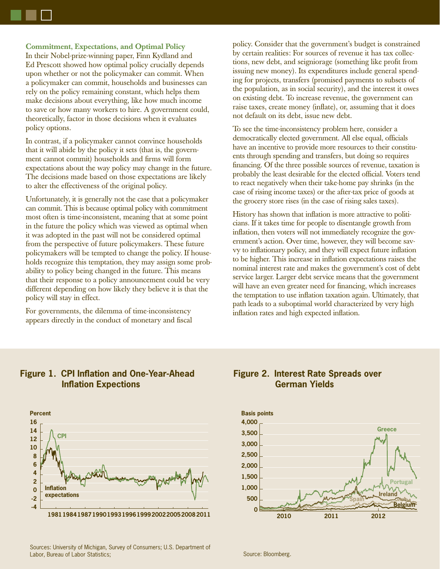**Commitment, Expectations, and Optimal Policy** In their Nobel-prize-winning paper, Finn Kydland and Ed Prescott showed how optimal policy crucially depends upon whether or not the policymaker can commit. When a policymaker can commit, households and businesses can rely on the policy remaining constant, which helps them make decisions about everything, like how much income to save or how many workers to hire. A government could, theoretically, factor in those decisions when it evaluates policy options.

In contrast, if a policymaker cannot convince households that it will abide by the policy it sets (that is, the government cannot commit) households and firms will form expectations about the way policy may change in the future. The decisions made based on those expectations are likely to alter the effectiveness of the original policy.

Unfortunately, it is generally not the case that a policymaker can commit. This is because optimal policy with commitment most often is time-inconsistent, meaning that at some point in the future the policy which was viewed as optimal when it was adopted in the past will not be considered optimal from the perspective of future policymakers. These future policymakers will be tempted to change the policy. If households recognize this temptation, they may assign some probability to policy being changed in the future. This means that their response to a policy announcement could be very different depending on how likely they believe it is that the policy will stay in effect.

For governments, the dilemma of time-inconsistency appears directly in the conduct of monetary and fiscal policy. Consider that the government's budget is constrained by certain realities: For sources of revenue it has tax collections, new debt, and seigniorage (something like profit from issuing new money). Its expenditures include general spending for projects, transfers (promised payments to subsets of the population, as in social security), and the interest it owes on existing debt. To increase revenue, the government can raise taxes, create money (inflate), or, assuming that it does not default on its debt, issue new debt.

To see the time-inconsistency problem here, consider a democratically elected government. All else equal, officials have an incentive to provide more resources to their constituents through spending and transfers, but doing so requires financing. Of the three possible sources of revenue, taxation is probably the least desirable for the elected official. Voters tend to react negatively when their take-home pay shrinks (in the case of rising income taxes) or the after-tax price of goods at the grocery store rises (in the case of rising sales taxes).

History has shown that inflation is more attractive to politicians. If it takes time for people to disentangle growth from inflation, then voters will not immediately recognize the government's action. Over time, however, they will become savvy to inflationary policy, and they will expect future inflation to be higher. This increase in inflation expectations raises the nominal interest rate and makes the government's cost of debt service larger. Larger debt service means that the government will have an even greater need for financing, which increases the temptation to use inflation taxation again. Ultimately, that path leads to a suboptimal world characterized by very high inflation rates and high expected inflation.



## **Figure 1. CPI Inflation and One-Year-Ahead Inflation Expections**

## **Figure 2. Interest Rate Spreads over German Yields**

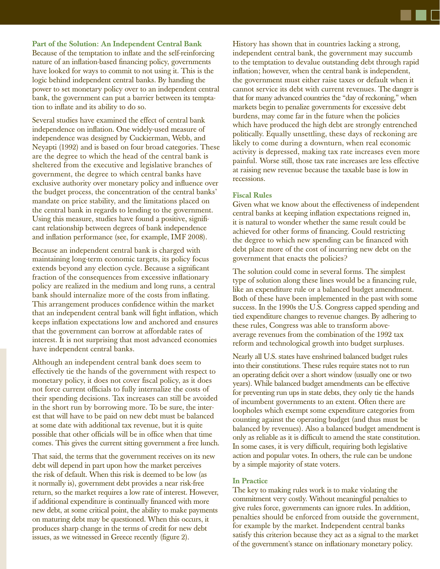Because of the temptation to inflate and the self-reinforcing nature of an inflation-based financing policy, governments have looked for ways to commit to not using it. This is the logic behind independent central banks. By handing the power to set monetary policy over to an independent central bank, the government can put a barrier between its temptation to inflate and its ability to do so.

Several studies have examined the effect of central bank independence on inflation. One widely-used measure of independence was designed by Cuckierman, Webb, and Neyapti (1992) and is based on four broad categories. These are the degree to which the head of the central bank is sheltered from the executive and legislative branches of government, the degree to which central banks have exclusive authority over monetary policy and influence over the budget process, the concentration of the central banks' mandate on price stability, and the limitations placed on the central bank in regards to lending to the government. Using this measure, studies have found a positive, significant relationship between degrees of bank independence and inflation performance (see, for example, IMF 2008).

Because an independent central bank is charged with maintaining long-term economic targets, its policy focus extends beyond any election cycle. Because a significant fraction of the consequences from excessive inflationary policy are realized in the medium and long runs, a central bank should internalize more of the costs from inflating. This arrangement produces confidence within the market that an independent central bank will fight inflation, which keeps inflation expectations low and anchored and ensures that the government can borrow at affordable rates of interest. It is not surprising that most advanced economies have independent central banks.

Although an independent central bank does seem to effectively tie the hands of the government with respect to monetary policy, it does not cover fiscal policy, as it does not force current officials to fully internalize the costs of their spending decisions. Tax increases can still be avoided in the short run by borrowing more. To be sure, the interest that will have to be paid on new debt must be balanced at some date with additional tax revenue, but it is quite possible that other officials will be in office when that time comes. This gives the current sitting government a free lunch.

That said, the terms that the government receives on its new debt will depend in part upon how the market perceives the risk of default. When this risk is deemed to be low (as it normally is), government debt provides a near risk-free return, so the market requires a low rate of interest. However, if additional expenditure is continually financed with more new debt, at some critical point, the ability to make payments on maturing debt may be questioned. When this occurs, it produces sharp change in the terms of credit for new debt issues, as we witnessed in Greece recently (figure 2).

History has shown that in countries lacking a strong, independent central bank, the government may succumb to the temptation to devalue outstanding debt through rapid inflation; however, when the central bank is independent, the government must either raise taxes or default when it cannot service its debt with current revenues. The danger is that for many advanced countries the "day of reckoning," when markets begin to penalize governments for excessive debt burdens, may come far in the future when the policies which have produced the high debt are strongly entrenched politically. Equally unsettling, these days of reckoning are likely to come during a downturn, when real economic activity is depressed, making tax rate increases even more painful. Worse still, those tax rate increases are less effective at raising new revenue because the taxable base is low in recessions.

### **Fiscal Rules**

Given what we know about the effectiveness of independent central banks at keeping inflation expectations reigned in, it is natural to wonder whether the same result could be achieved for other forms of financing. Could restricting the degree to which new spending can be financed with debt place more of the cost of incurring new debt on the government that enacts the policies?

The solution could come in several forms. The simplest type of solution along these lines would be a financing rule, like an expenditure rule or a balanced budget amendment. Both of these have been implemented in the past with some success. In the 1990s the U.S. Congress capped spending and tied expenditure changes to revenue changes. By adhering to these rules, Congress was able to transform aboveaverage revenues from the combination of the 1992 tax reform and technological growth into budget surpluses.

Nearly all U.S. states have enshrined balanced budget rules into their constitutions. These rules require states not to run an operating deficit over a short window (usually one or two years). While balanced budget amendments can be effective for preventing run ups in state debts, they only tie the hands of incumbent governments to an extent. Often there are loopholes which exempt some expenditure categories from counting against the operating budget (and thus must be balanced by revenues). Also a balanced budget amendment is only as reliable as it is difficult to amend the state constitution. In some cases, it is very difficult, requiring both legislative action and popular votes. In others, the rule can be undone by a simple majority of state voters.

#### **In Practice**

The key to making rules work is to make violating the commitment very costly. Without meaningful penalties to give rules force, governments can ignore rules. In addition, penalties should be enforced from outside the government, for example by the market. Independent central banks satisfy this criterion because they act as a signal to the market of the government's stance on inflationary monetary policy.